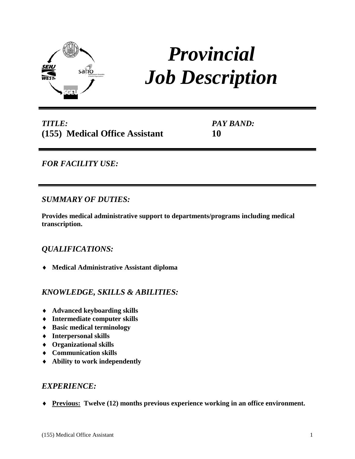

# *Provincial Job Description*

*TITLE:* **(155) Medical Office Assistant** *PAY BAND:* **10**

*FOR FACILITY USE:* 

## *SUMMARY OF DUTIES:*

**Provides medical administrative support to departments/programs including medical transcription.**

## *QUALIFICATIONS:*

♦ **Medical Administrative Assistant diploma**

## *KNOWLEDGE, SKILLS & ABILITIES:*

- ♦ **Advanced keyboarding skills**
- ♦ **Intermediate computer skills**
- ♦ **Basic medical terminology**
- ♦ **Interpersonal skills**
- ♦ **Organizational skills**
- ♦ **Communication skills**
- ♦ **Ability to work independently**

### *EXPERIENCE:*

♦ **Previous: Twelve (12) months previous experience working in an office environment.**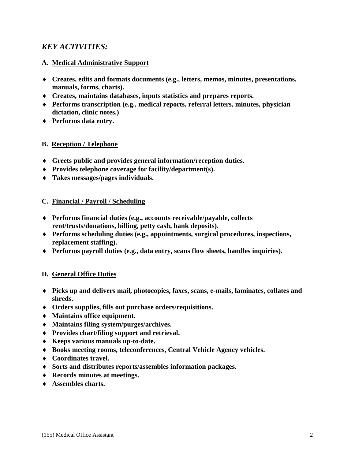## *KEY ACTIVITIES:*

#### **A. Medical Administrative Support**

- ♦ **Creates, edits and formats documents (e.g., letters, memos, minutes, presentations, manuals, forms, charts).**
- ♦ **Creates, maintains databases, inputs statistics and prepares reports.**
- ♦ **Performs transcription (e.g., medical reports, referral letters, minutes, physician dictation, clinic notes.)**
- ♦ **Performs data entry.**

#### **B. Reception / Telephone**

- ♦ **Greets public and provides general information/reception duties.**
- ♦ **Provides telephone coverage for facility/department(s).**
- ♦ **Takes messages/pages individuals.**

#### **C. Financial / Payroll / Scheduling**

- ♦ **Performs financial duties (e.g., accounts receivable/payable, collects rent/trusts/donations, billing, petty cash, bank deposits).**
- ♦ **Performs scheduling duties (e.g., appointments, surgical procedures, inspections, replacement staffing).**
- ♦ **Performs payroll duties (e.g., data entry, scans flow sheets, handles inquiries).**

#### **D. General Office Duties**

- ♦ **Picks up and delivers mail, photocopies, faxes, scans, e-mails, laminates, collates and shreds.**
- ♦ **Orders supplies, fills out purchase orders/requisitions.**
- ♦ **Maintains office equipment.**
- ♦ **Maintains filing system/purges/archives.**
- ♦ **Provides chart/filing support and retrieval.**
- ♦ **Keeps various manuals up-to-date.**
- ♦ **Books meeting rooms, teleconferences, Central Vehicle Agency vehicles.**
- ♦ **Coordinates travel.**
- ♦ **Sorts and distributes reports/assembles information packages.**
- ♦ **Records minutes at meetings.**
- ♦ **Assembles charts.**